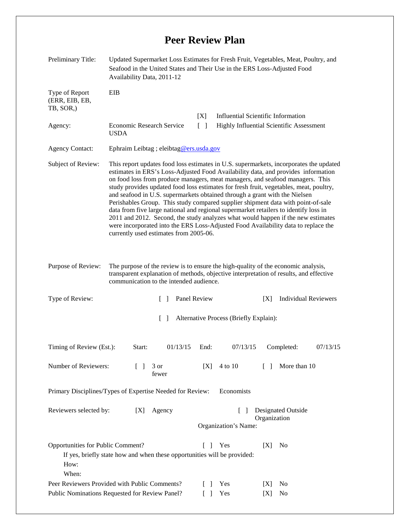## **Peer Review Plan**

| Preliminary Title:                                                                                       | Updated Supermarket Loss Estimates for Fresh Fruit, Vegetables, Meat, Poultry, and<br>Seafood in the United States and Their Use in the ERS Loss-Adjusted Food<br>Availability Data, 2011-12                                                                                                                                                                                                                                                                                                                                                                                                                                                                                                                                                     |                                          |                                    |
|----------------------------------------------------------------------------------------------------------|--------------------------------------------------------------------------------------------------------------------------------------------------------------------------------------------------------------------------------------------------------------------------------------------------------------------------------------------------------------------------------------------------------------------------------------------------------------------------------------------------------------------------------------------------------------------------------------------------------------------------------------------------------------------------------------------------------------------------------------------------|------------------------------------------|------------------------------------|
| Type of Report<br>(ERR, EIB, EB,<br>TB, SOR,)<br>Agency:<br><b>Agency Contact:</b><br>Subject of Review: | EIB<br><b>Influential Scientific Information</b><br>[X]<br><b>Economic Research Service</b><br>$\lceil \rceil$<br>Highly Influential Scientific Assessment<br><b>USDA</b><br>Ephraim Leibtag ; eleibtag@ers.usda.gov<br>This report updates food loss estimates in U.S. supermarkets, incorporates the updated<br>estimates in ERS's Loss-Adjusted Food Availability data, and provides information<br>on food loss from produce managers, meat managers, and seafood managers. This<br>study provides updated food loss estimates for fresh fruit, vegetables, meat, poultry,<br>and seafood in U.S. supermarkets obtained through a grant with the Nielsen<br>Perishables Group. This study compared supplier shipment data with point-of-sale |                                          |                                    |
|                                                                                                          | data from five large national and regional supermarket retailers to identify loss in<br>2011 and 2012. Second, the study analyzes what would happen if the new estimates<br>were incorporated into the ERS Loss-Adjusted Food Availability data to replace the<br>currently used estimates from 2005-06.                                                                                                                                                                                                                                                                                                                                                                                                                                         |                                          |                                    |
| Purpose of Review:                                                                                       | The purpose of the review is to ensure the high-quality of the economic analysis,<br>transparent explanation of methods, objective interpretation of results, and effective<br>communication to the intended audience.                                                                                                                                                                                                                                                                                                                                                                                                                                                                                                                           |                                          |                                    |
| Type of Review:                                                                                          | Panel Review<br>$\Box$<br>$\Box$                                                                                                                                                                                                                                                                                                                                                                                                                                                                                                                                                                                                                                                                                                                 | Alternative Process (Briefly Explain):   | <b>Individual Reviewers</b><br>[X] |
| Timing of Review (Est.):                                                                                 | 01/13/15<br>Start:                                                                                                                                                                                                                                                                                                                                                                                                                                                                                                                                                                                                                                                                                                                               | 07/13/15<br>End:                         | Completed:<br>07/13/15             |
| Number of Reviewers:                                                                                     | 3 or<br>$\mathbf{1}$<br>fewer                                                                                                                                                                                                                                                                                                                                                                                                                                                                                                                                                                                                                                                                                                                    | 4 to 10<br> X                            | More than 10<br>$\mathbf{1}$       |
| Economists<br>Primary Disciplines/Types of Expertise Needed for Review:                                  |                                                                                                                                                                                                                                                                                                                                                                                                                                                                                                                                                                                                                                                                                                                                                  |                                          |                                    |
| Reviewers selected by:                                                                                   | [X]<br>Agency                                                                                                                                                                                                                                                                                                                                                                                                                                                                                                                                                                                                                                                                                                                                    | $\mathsf{L}$<br>Organization's Name:     | Designated Outside<br>Organization |
| Opportunities for Public Comment?<br>How:<br>When:                                                       | If yes, briefly state how and when these opportunities will be provided:                                                                                                                                                                                                                                                                                                                                                                                                                                                                                                                                                                                                                                                                         | Yes<br>L L                               | N <sub>0</sub><br> X               |
|                                                                                                          | Peer Reviewers Provided with Public Comments?<br>Public Nominations Requested for Review Panel?                                                                                                                                                                                                                                                                                                                                                                                                                                                                                                                                                                                                                                                  | L<br>-1<br>Yes<br>$\lceil \rceil$<br>Yes | No<br> X <br>[X]<br>N <sub>0</sub> |